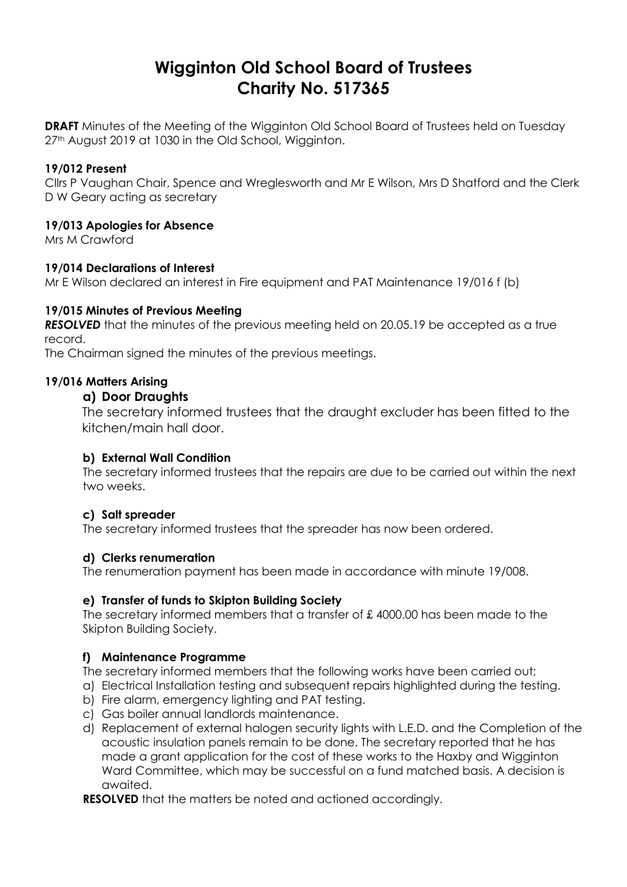# **Wigginton Old School Board of Trustees Charity No. 517365**

**DRAFT** Minutes of the Meeting of the Wigginton Old School Board of Trustees held on Tuesday 27<sup>th</sup> August 2019 at 1030 in the Old School, Wigginton.

## **19/012 Present**

Cllrs P Vaughan Chair, Spence and Wreglesworth and Mr E Wilson, Mrs D Shatford and the Clerk D W Geary acting as secretary

## **19/013 Apologies for Absence**

Mrs M Crawford

## **19/014 Declarations of Interest**

Mr E Wilson declared an interest in Fire equipment and PAT Maintenance 19/016 f (b)

## **19/015 Minutes of Previous Meeting**

**RESOLVED** that the minutes of the previous meeting held on 20.05.19 be accepted as a true record.

The Chairman signed the minutes of the previous meetings.

## **19/016 Matters Arising**

## **a) Door Draughts**

The secretary informed trustees that the draught excluder has been fitted to the kitchen/main hall door.

## **b) External Wall Condition**

The secretary informed trustees that the repairs are due to be carried out within the next two weeks.

## **c) Salt spreader**

The secretary informed trustees that the spreader has now been ordered.

## **d) Clerks renumeration**

The renumeration payment has been made in accordance with minute 19/008.

## **e) Transfer of funds to Skipton Building Society**

The secretary informed members that a transfer of £ 4000.00 has been made to the Skipton Building Society.

## **f) Maintenance Programme**

The secretary informed members that the following works have been carried out;

- a) Electrical Installation testing and subsequent repairs highlighted during the testing.
- b) Fire alarm, emergency lighting and PAT testing.
- c) Gas boiler annual landlords maintenance.
- d) Replacement of external halogen security lights with L.E.D. and the Completion of the acoustic insulation panels remain to be done. The secretary reported that he has made a grant application for the cost of these works to the Haxby and Wigginton Ward Committee, which may be successful on a fund matched basis. A decision is awaited.

**RESOLVED** that the matters be noted and actioned accordingly.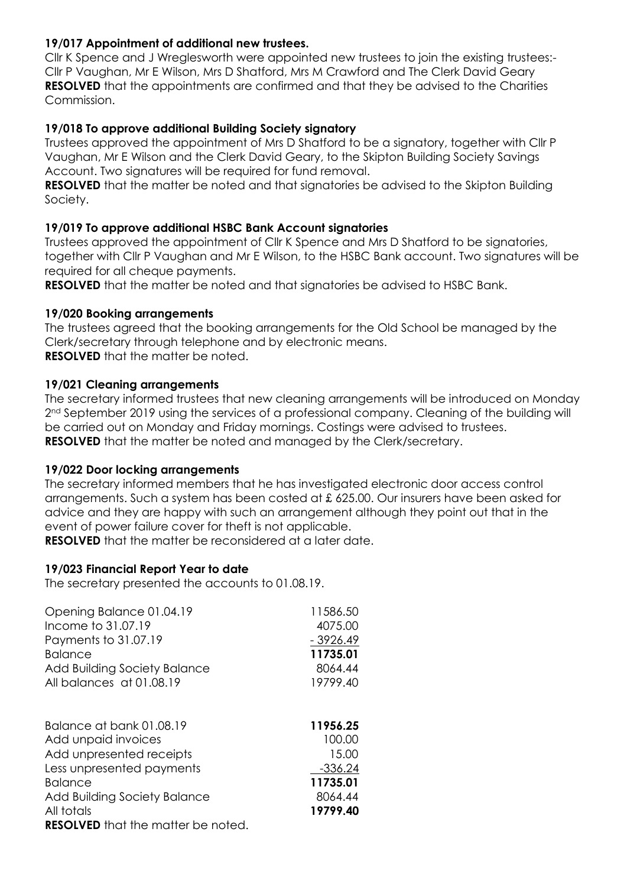## **19/017 Appointment of additional new trustees.**

Cllr K Spence and J Wreglesworth were appointed new trustees to join the existing trustees:- Cllr P Vaughan, Mr E Wilson, Mrs D Shatford, Mrs M Crawford and The Clerk David Geary **RESOLVED** that the appointments are confirmed and that they be advised to the Charities Commission.

## **19/018 To approve additional Building Society signatory**

Trustees approved the appointment of Mrs D Shatford to be a signatory, together with Cllr P Vaughan, Mr E Wilson and the Clerk David Geary, to the Skipton Building Society Savings Account. Two signatures will be required for fund removal.

**RESOLVED** that the matter be noted and that signatories be advised to the Skipton Building Society.

## **19/019 To approve additional HSBC Bank Account signatories**

Trustees approved the appointment of Cllr K Spence and Mrs D Shatford to be signatories, together with Cllr P Vaughan and Mr E Wilson, to the HSBC Bank account. Two signatures will be required for all cheque payments.

**RESOLVED** that the matter be noted and that signatories be advised to HSBC Bank.

## **19/020 Booking arrangements**

The trustees agreed that the booking arrangements for the Old School be managed by the Clerk/secretary through telephone and by electronic means. **RESOLVED** that the matter be noted.

## **19/021 Cleaning arrangements**

The secretary informed trustees that new cleaning arrangements will be introduced on Monday 2<sup>nd</sup> September 2019 using the services of a professional company. Cleaning of the building will be carried out on Monday and Friday mornings. Costings were advised to trustees. **RESOLVED** that the matter be noted and managed by the Clerk/secretary.

#### **19/022 Door locking arrangements**

The secretary informed members that he has investigated electronic door access control arrangements. Such a system has been costed at £ 625.00. Our insurers have been asked for advice and they are happy with such an arrangement although they point out that in the event of power failure cover for theft is not applicable.

**RESOLVED** that the matter be reconsidered at a later date.

## **19/023 Financial Report Year to date**

The secretary presented the accounts to 01.08.19.

| Opening Balance 01.04.19     | 11586.50   |
|------------------------------|------------|
| Income to 31,07.19           | 4075.00    |
| Payments to 31.07.19         | $-3926.49$ |
| <b>Balance</b>               | 11735.01   |
| Add Building Society Balance | 8064.44    |
| All balances at 01.08.19     | 19799.40   |
|                              |            |
| Balance at bank 01.08.19     | 11956.25   |
| Add unpaid invoices          | 100.00     |
| Add unpresented receipts     | 15.00      |
|                              |            |
| Less unpresented payments    | $-336.24$  |
| <b>Balance</b>               | 11735.01   |
| Add Building Society Balance | 8064.44    |
| All totals                   | 19799.40   |